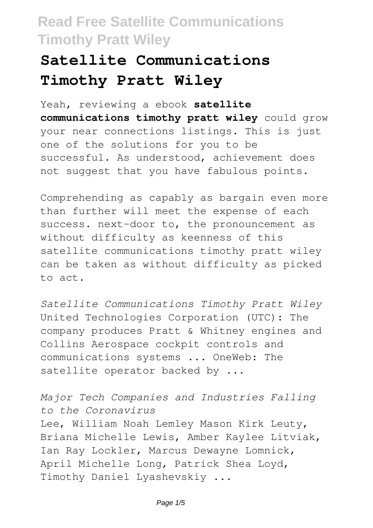# **Satellite Communications Timothy Pratt Wiley**

Yeah, reviewing a ebook **satellite communications timothy pratt wiley** could grow your near connections listings. This is just one of the solutions for you to be successful. As understood, achievement does not suggest that you have fabulous points.

Comprehending as capably as bargain even more than further will meet the expense of each success. next-door to, the pronouncement as without difficulty as keenness of this satellite communications timothy pratt wiley can be taken as without difficulty as picked to act.

*Satellite Communications Timothy Pratt Wiley* United Technologies Corporation (UTC): The company produces Pratt & Whitney engines and Collins Aerospace cockpit controls and communications systems ... OneWeb: The satellite operator backed by ...

*Major Tech Companies and Industries Falling to the Coronavirus* Lee, William Noah Lemley Mason Kirk Leuty, Briana Michelle Lewis, Amber Kaylee Litviak, Ian Ray Lockler, Marcus Dewayne Lomnick, April Michelle Long, Patrick Shea Loyd, Timothy Daniel Lyashevskiy ...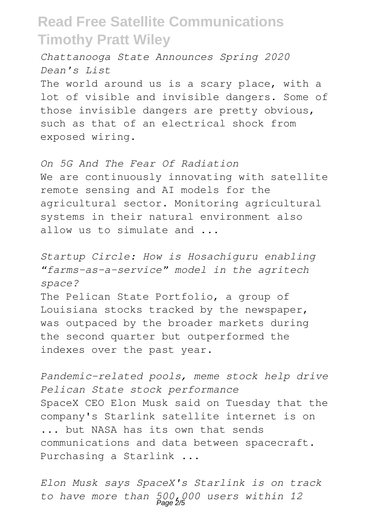*Chattanooga State Announces Spring 2020 Dean's List*

The world around us is a scary place, with a lot of visible and invisible dangers. Some of those invisible dangers are pretty obvious, such as that of an electrical shock from exposed wiring.

*On 5G And The Fear Of Radiation* We are continuously innovating with satellite remote sensing and AI models for the agricultural sector. Monitoring agricultural systems in their natural environment also allow us to simulate and ...

*Startup Circle: How is Hosachiguru enabling "farms-as-a-service" model in the agritech space?*

The Pelican State Portfolio, a group of Louisiana stocks tracked by the newspaper, was outpaced by the broader markets during the second quarter but outperformed the indexes over the past year.

*Pandemic-related pools, meme stock help drive Pelican State stock performance* SpaceX CEO Elon Musk said on Tuesday that the company's Starlink satellite internet is on ... but NASA has its own that sends communications and data between spacecraft. Purchasing a Starlink ...

*Elon Musk says SpaceX's Starlink is on track to have more than 500,000 users within 12* Page 2/5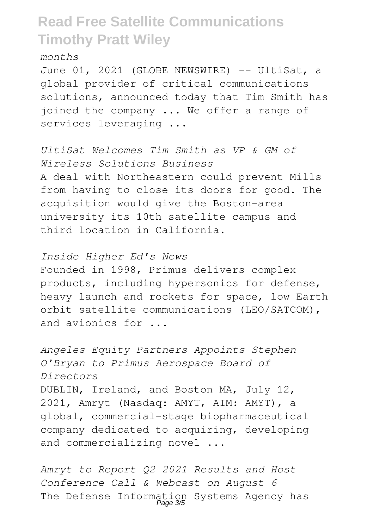*months*

June 01, 2021 (GLOBE NEWSWIRE) -- UltiSat, a global provider of critical communications solutions, announced today that Tim Smith has joined the company ... We offer a range of services leveraging ...

*UltiSat Welcomes Tim Smith as VP & GM of Wireless Solutions Business* A deal with Northeastern could prevent Mills from having to close its doors for good. The acquisition would give the Boston-area university its 10th satellite campus and third location in California.

*Inside Higher Ed's News*

Founded in 1998, Primus delivers complex products, including hypersonics for defense, heavy launch and rockets for space, low Earth orbit satellite communications (LEO/SATCOM), and avionics for ...

*Angeles Equity Partners Appoints Stephen O'Bryan to Primus Aerospace Board of Directors* DUBLIN, Ireland, and Boston MA, July 12, 2021, Amryt (Nasdaq: AMYT, AIM: AMYT), a global, commercial-stage biopharmaceutical company dedicated to acquiring, developing and commercializing novel ...

*Amryt to Report Q2 2021 Results and Host Conference Call & Webcast on August 6* The Defense Information Systems Agency has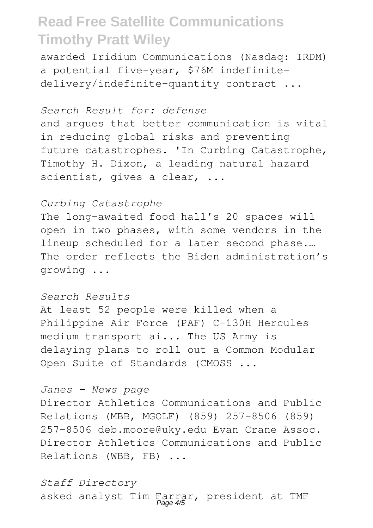awarded Iridium Communications (Nasdaq: IRDM) a potential five-year, \$76M indefinitedelivery/indefinite-quantity contract ...

### *Search Result for: defense*

and argues that better communication is vital in reducing global risks and preventing future catastrophes. 'In Curbing Catastrophe, Timothy H. Dixon, a leading natural hazard scientist, gives a clear, ...

### *Curbing Catastrophe*

The long-awaited food hall's 20 spaces will open in two phases, with some vendors in the lineup scheduled for a later second phase.… The order reflects the Biden administration's growing ...

### *Search Results*

At least 52 people were killed when a Philippine Air Force (PAF) C-130H Hercules medium transport ai... The US Army is delaying plans to roll out a Common Modular Open Suite of Standards (CMOSS ...

#### *Janes - News page*

Director Athletics Communications and Public Relations (MBB, MGOLF) (859) 257-8506 (859) 257-8506 deb.moore@uky.edu Evan Crane Assoc. Director Athletics Communications and Public Relations (WBB, FB) ...

*Staff Directory* asked analyst Tim Farrar, president at TMF